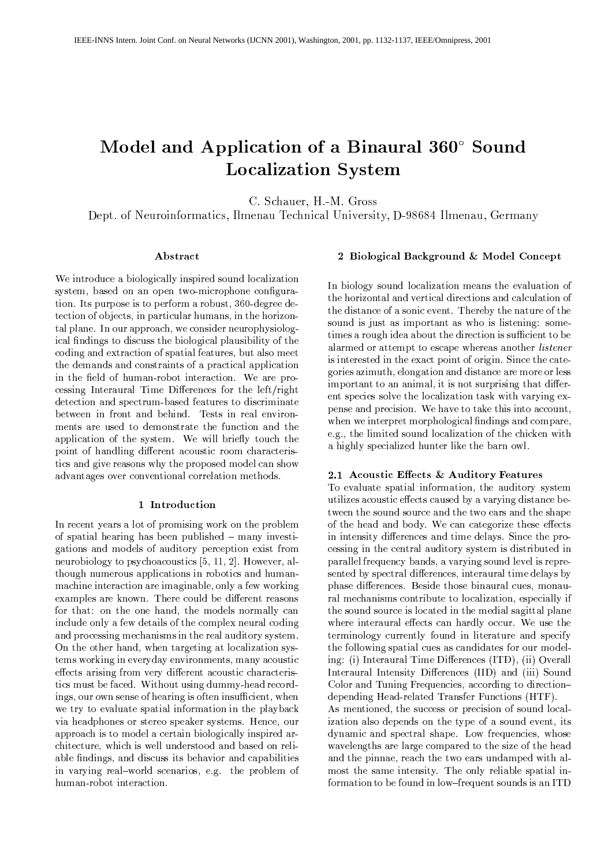# - -  ! "#\$&% - ${\rm Localization\,}$  System  $\hskip.1in$

C. Schauer, H.-M. Gross

Dept. of Neuroinformatics, Ilmenau Technical University, D-98684 Ilmenau, Germany

#### Abstract

We introduce a biologically inspired sound localization system, based on an open two-microphone configuration. Its purpose is to perform a robust,  $360$ -degree detection of objects, in particular humans, in the horizontal plane. In our approach, we consider neurophysiological findings to discuss the biological plausibility of the coding and extraction of spatial features, but also meet the demands and constraints of a practical application in the field of human-robot interaction. We are pro- $\cos$ ing Interaural Time Differences for the left/right detection and spectrum-based features to discriminate between in front and behind. Tests in real environments are used to demonstrate the function and the application of the system. We will briefly touch the point of handling different acoustic room characteristics and give reasons why the proposed model can show advantages over conventional correlation methods.

#### 1 Introduction

In recent years a lot of promising work on the problem of spatial hearing has been published - many investigations and models of auditory perception exist from neurobiology to psychoacoustics  $[5, 11, 2]$ . However, although numerous applications in robotics and humanmachine interaction are imaginable, only a few working examples are known. There could be different reasons for that: on the one hand, the models normally can include only a few details of the complex neural coding and processing mechanisms in the real auditory system. On the other hand, when targeting at localization systems working in everyday environments, many acoustic effects arising from very different acoustic characteristics must be faced. Without using dummy-head recordings, our own sense of hearing is often insufficient, when we try to evaluate spatial information in the playback via headphones or stereo speaker systems. Hence, our approach is to model a certain biologically inspired architecture, which is well understood and based on reliable findings, and discuss its behavior and capabilities in varying real-world scenarios, e.g. the problem of human-robot interaction.

# 2 Biological Background & Model Concept

In biology sound localization means the evaluation of the horizontal and vertical directions and calculation of the distance of a sonic event. Thereby the nature of the sound is just as important as who is listening: some $t$  times a rough idea about the direction is sufficient to be alarmed or attempt to escape whereas another *listener* is interested in the exact point of origin. Since the categories azimuth, elongation and distance are more or less important to an animal, it is not surprising that different species solve the localization task with varying expense and precision. We have to take this into account, when we interpret morphological findings and compare, e.g., the limited sound localization of the chicken with a highly specialized hunter like the barn owl.

#### 2.1 Acoustic Effects & Auditory Features

To evaluate spatial information, the auditory system utilizes acoustic effects caused by a varying distance between the sound source and the two ears and the shape of the head and body. We can categorize these effects in intensity differences and time delays. Since the processing in the central auditory system is distributed in parallel frequency bands, a varying sound level is represented by spectral differences, interaural time delays by phase differences. Beside those binaural cues, monaural mechanisms contribute to localization, especially if the sound source is located in the medial sagittal plane where interaural effects can hardly occur. We use the terminology currently found in literature and specify the following spatial cues as candidates for our modeling: (i) Interaural Time Differences (ITD), (ii) Overall Interaural Intensity Differences (IID) and (iii) Sound Color and Tuning Frequencies, according to directiondepending Head-related Transfer Functions (HTF). As mentioned, the success or precision of sound local-

ization also depends on the type of a sound event, its dynamic and spectral shape. Low frequencies, whose wavelengths are large compared to the size of the head and the pinnae, reach the two ears undamped with almost the same intensity. The only reliable spatial information to be found in low-frequent sounds is an ITD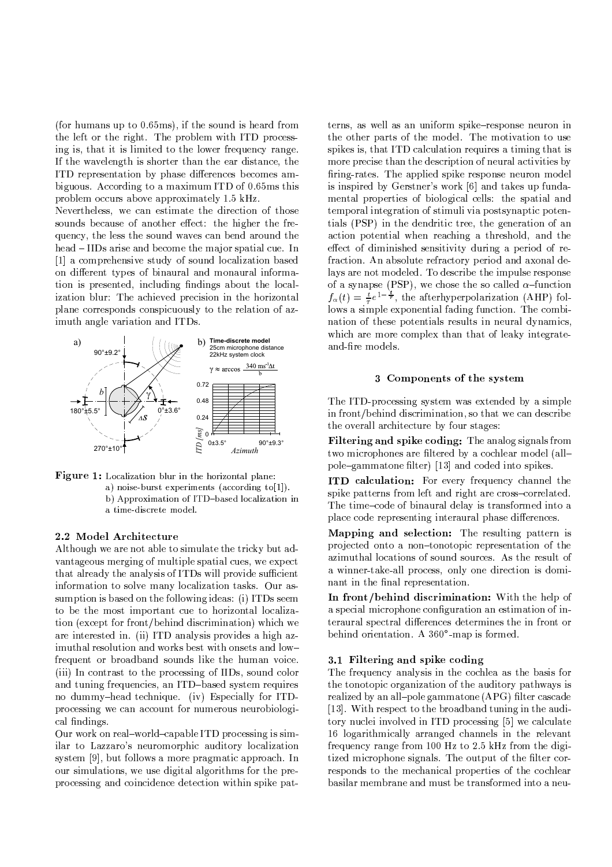(for humans up to  $0.65$ ms), if the sound is heard from the left or the right. The problem with ITD processing is, that it is limited to the lower frequency range. If the wavelength is shorter than the ear distance, the ITD representation by phase differences becomes ambiguous. According to a maximum ITD of 0.65ms this problem occurs above approximately 1.5 kHz.

Nevertheless, we can estimate the direction of those sounds because of another effect: the higher the frequency, the less the sound waves can bend around the head – IIDs arise and become the major spatial cue. In [1] a comprehensive study of sound localization based on different types of binaural and monaural information is presented, including findings about the localization blur: The achieved precision in the horizontal plane corresponds conspicuously to the relation of azimuth angle variation and ITDs.





# 2.2 Model Architecture

Although we are not able to simulate the tricky but advantageous merging of multiple spatial cues, we expect that already the analysis of ITDs will provide sufficient information to solve many localization tasks. Our assumption is based on the following ideas: (i) ITDs seem to be the most important cue to horizontal localization (except for front/behind discrimination) which we are interested in. (ii) ITD analysis provides a high azimuthal resolution and works best with onsets and lowfrequent or broadband sounds like the human voice. (iii) In contrast to the processing of IIDs, sound color and tuning frequencies, an ITD-based system requires no dummy-head technique. (iv) Especially for ITDprocessing we can account for numerous neurobiological findings.

Our work on real-world-capable ITD processing is similar to Lazzaro's neuromorphic auditory localization system [9], but follows a more pragmatic approach. In our simulations, we use digital algorithms for the preprocessing and coincidence detection within spike pat-

terns, as well as an uniform spike-response neuron in the other parts of the model. The motivation to use spikes is, that ITD calculation requires a timing that is more precise than the description of neural activities by firing-rates. The applied spike response neuron model is inspired by Gerstner's work [6] and takes up fundamental properties of biological cells: the spatial and temporal integration of stimuli via postsynaptic potentials (PSP) in the dendritic tree, the generation of an action potential when reaching a threshold, and the effect of diminished sensitivity during a period of refraction. An absolute refractory period and axonal delays are not modeled. To describe the impulse response of a synapse (PSP), we chose the so called  $\alpha$ -function  $f_{\alpha}(t) = \frac{t}{\tau}e^{1-\frac{t}{\tau}}$ , the after hyperpolarization (AHP) follows a simple exponential fading function. The combination of these potentials results in neural dynamics. which are more complex than that of leaky integrateand-fire models.

# 3 Components of the system

The ITD-processing system was extended by a simple in front/behind discrimination, so that we can describe the overall architecture by four stages:

Filtering and spike coding: The analog signals from two microphones are filtered by a cochlear model (allpole-gammatone filter) [13] and coded into spikes.

ITD calculation: For every frequency channel the spike patterns from left and right are cross-correlated. The time-code of binaural delay is transformed into a place code representing interaural phase differences.

Mapping and selection: The resulting pattern is projected onto a non-tonotopic representation of the azimuthal locations of sound sources. As the result of a winner-take-all process, only one direction is dominant in the final representation.

In front/behind discrimination: With the help of a special microphone configuration an estimation of interaural spectral differences determines the in front or behind orientation. A 360°-map is formed.

### 3.1 Filtering and spike coding

The frequency analysis in the cochlea as the basis for the tonotopic organization of the auditory pathways is realized by an all-pole gammatone (APG) filter cascade [13]. With respect to the broadband tuning in the auditory nuclei involved in ITD processing [5] we calculate 16 logarithmically arranged channels in the relevant frequency range from 100 Hz to 2.5 kHz from the digitized microphone signals. The output of the filter corresponds to the mechanical properties of the cochlear basilar membrane and must be transformed into a neu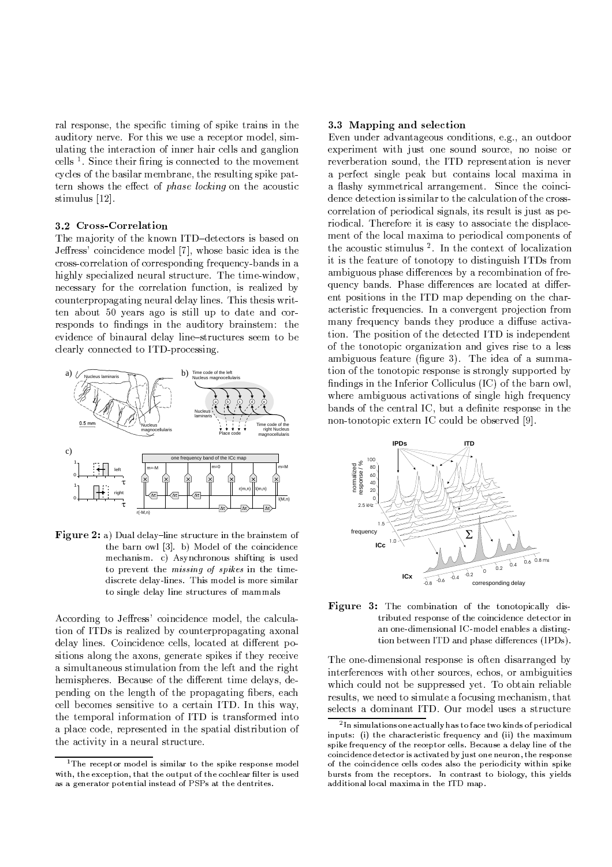ral response, the specific timing of spike trains in the auditory nerve. For this we use a receptor model, simulating the interaction of inner hair cells and ganglion cells  $\frac{1}{2}$ . Since their firing is connected to the movement cycles of the basilar membrane, the resulting spike pattern shows the effect of *phase locking* on the acoustic stimulus [12].

#### 3.2 Cross-Correlation

The majority of the known ITD-detectors is based on Jeffress' coincidence model [7], whose basic idea is the cross-correlation of corresponding frequency-bands in a highly specialized neural structure. The time-window, necessary for the correlation function, is realized by counterpropagating neural delay lines. This thesis written about 50 years ago is still up to date and corresponds to findings in the auditory brainstem: the evidence of binaural delay line-structures seem to be clearly connected to ITD-processing.



Figure 2: a) Dual delay-line structure in the brainstem of the barn owl [3]. b) Model of the coincidence mechanism. c) Asynchronous shifting is used to prevent the *missing* of *spikes* in the timediscrete delay-lines. This model is more similar to single delay line structures of mammals

According to Jeffress' coincidence model, the calculation of ITDs is realized by counterpropagating axonal delay lines. Coincidence cells, located at different positions along the axons, generate spikes if they receive a simultaneous stimulation from the left and the right hemispheres. Because of the different time delays, depending on the length of the propagating fibers, each cell becomes sensitive to a certain ITD. In this way, the temporal information of ITD is transformed into a place code, represented in the spatial distribution of the activity in a neural structure.

# 3.3 Mapping and selection

Even under advantageous conditions, e.g., an outdoor experiment with just one sound source, no noise or reverberation sound, the ITD representation is never a perfect single peak but contains local maxima in a flashy symmetrical arrangement. Since the coincidence detection is similar to the calculation of the crosscorrelation of periodical signals, its result is just as periodical. Therefore it is easy to associate the displacement of the local maxima to periodical components of the acoustic stimulus<sup>2</sup>. In the context of localization it is the feature of tonotopy to distinguish ITDs from ambiguous phase differences by a recombination of frequency bands. Phase differences are located at different positions in the ITD map depending on the characteristic frequencies. In a convergent projection from many frequency bands they produce a diffuse activation. The position of the detected ITD is independent of the tonotopic organization and gives rise to a less ambiguous feature (figure 3). The idea of a summation of the tonotopic response is strongly supported by findings in the Inferior Colliculus (IC) of the barn owl, where ambiguous activations of single high frequency bands of the central IC, but a definite response in the non-tonotopic extern IC could be observed [9].



Figure 3: The combination of the tonotopically distributed response of the coincidence detector in an one-dimensional IC-model enables a distingtion between ITD and phase differences (IPDs).

The one-dimensional response is often disarranged by interferences with other sources, echos, or ambiguities which could not be suppressed vet. To obtain reliable results, we need to simulate a focusing mechanism, that selects a dominant ITD. Our model uses a structure

<sup>&</sup>lt;sup>1</sup>The receptor model is similar to the spike response model with, the exception, that the output of the cochlear filter is used as a generator potential instead of PSPs at the dentrites.

<sup>&</sup>lt;sup>2</sup>In simulations one actually has to face two kinds of periodical inputs: (i) the characteristic frequency and (ii) the maximum spike frequency of the receptor cells. Because a delay line of the coincidence detector is activated by just one neuron, the response of the coincidence cells codes also the periodicity within spike bursts from the receptors. In contrast to biology, this yields additional local maxima in the ITD map.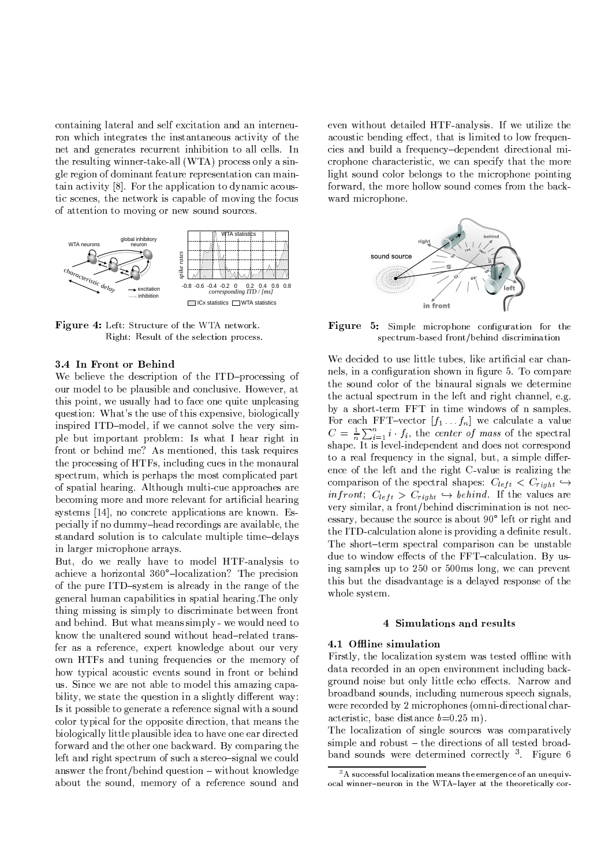containing lateral and self excitation and an interneuron which integrates the instantaneous activity of the net and generates recurrent inhibition to all cells. In the resulting winner-take-all (WTA) process only a single region of dominant feature representation can maintain activity [8]. For the application to dynamic acoustic scenes, the network is capable of moving the focus of attention to moving or new sound sources.



Figure 4: Left: Structure of the WTA network. Right: Result of the selection process.

# 3.4 In Front or Behind

We believe the description of the ITD-processing of our model to be plausible and conclusive. However, at this point, we usually had to face one quite unpleasing question: What's the use of this expensive, biologically inspired ITD-model, if we cannot solve the very simple but important problem: Is what I hear right in front or behind me? As mentioned, this task requires the processing of HTFs, including cues in the monaural spectrum, which is perhaps the most complicated part of spatial hearing. Although multi-cue approaches are becoming more and more relevant for artificial hearing systems [14], no concrete applications are known. Especially if no dummy-head recordings are available, the standard solution is to calculate multiple time-delays in larger microphone arrays.

But, do we really have to model HTF-analysis to achieve a horizontal 360°-localization? The precision of the pure ITD-system is already in the range of the general human capabilities in spatial hearing. The only thing missing is simply to discriminate between front and behind. But what means simply - we would need to know the unaltered sound without head-related transfer as a reference, expert knowledge about our very own HTFs and tuning frequencies or the memory of how typical acoustic events sound in front or behind us. Since we are not able to model this amazing capability, we state the question in a slightly different way: Is it possible to generate a reference signal with a sound color typical for the opposite direction, that means the biologically little plausible idea to have one ear directed forward and the other one backward. By comparing the left and right spectrum of such a stereo-signal we could answer the front/behind question - without knowledge about the sound, memory of a reference sound and

even without detailed HTF-analysis. If we utilize the acoustic bending effect, that is limited to low frequencies and build a frequency-dependent directional microphone characteristic, we can specify that the more light sound color belongs to the microphone pointing forward, the more hollow sound comes from the backward microphone.



Figure 5: Simple microphone configuration for the spectrum-based front/behind discrimination

We decided to use little tubes, like artificial ear channels, in a configuration shown in figure 5. To compare the sound color of the binaural signals we determine the actual spectrum in the left and right channel, e.g. by a short-term FFT in time windows of n samples. For each FFT-vector  $[f_1 \dots f_n]$  we calculate a value  $C = \frac{1}{n} \sum_{i=1}^{n} i \cdot f_i$ , the *center of mass* of the spectral shape. It is level-independent and does not correspond to a real frequency in the signal, but, a simple difference of the left and the right C-value is realizing the comparison of the spectral shapes:  $C_{left} < C_{right} \leftrightarrow$ *infront*;  $C_{left} > C_{right} \leftrightarrow behind$ . If the values are very similar, a front/behind discrimination is not necessary, because the source is about 90° left or right and the ITD-calculation alone is providing a definite result. The short-term spectral comparison can be unstable due to window effects of the FFT-calculation. By using samples up to 250 or 500ms long, we can prevent this but the disadvantage is a delayed response of the whole system.

#### 4 Simulations and results

# 4.1 Offline simulation

Firstly, the localization system was tested offline with data recorded in an open environment including background noise but only little echo effects. Narrow and broadband sounds, including numerous speech signals, were recorded by 2 microphones (omni-directional characteristic, base distance  $b=0.25$  m).

The localization of single sources was comparatively simple and robust – the directions of all tested broadband sounds were determined correctly <sup>3</sup>. Figure 6

 $3A$  successful localization means the emergence of an unequivocal winner-neuron in the WTA-layer at the theoretically cor-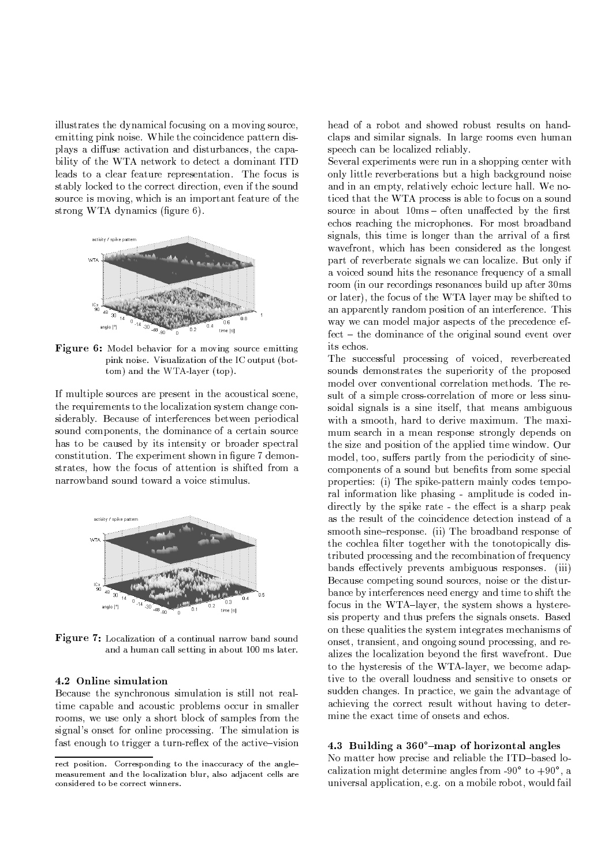illustrates the dynamical focusing on a moving source,  $\epsilon$  emitting pink noise. While the coincidence pattern displays a diffuse activation and disturbances, the capability of the WTA network to detect a dominant ITD leads to a clear feature representation. The focus is stably locked to the correct direction, even if the sound source is moving, which is an important feature of the strong WTA dynamics (figure  $6$ ).



ì8ÂY×WÁAw<Ü -N 6 . T .! #i@/ N34!7G,\$#0 8 3K\$!7 %K!
,\$ =-F," # #N
@!! FA>\G#"%!5T-  $\qquad \qquad$  ( .35)  $\qquad \qquad$  .35  $\qquad \qquad$  .35  $\qquad \qquad$  .35  $\qquad \qquad$  .35  $\qquad \qquad$  .35  $\qquad \qquad$  .35  $\qquad \qquad$  .35  $\qquad \qquad$  .35  $\qquad \qquad$  .35  $\qquad \qquad$  .35  $\qquad \qquad$  .35  $\qquad \qquad$  .35  $\qquad \qquad$  .35  $\qquad \qquad$  .35  $\qquad \qquad$  .35  $\qquad \qquad$  .

If multiple sources are present in the acoustical scene, the requirements to the localization system change considerably. Because of interferences between periodical sound components, the dominance of a certain source has to be caused by its intensity or broader spectral constitution. The experiment shown in figure 7 demonstrates, how the focus of attention is shifted from a narrowband sound toward a voice stimulus.



ì8ÂY×WÁAw<Ü - # #R
@ H
 ! &! \$0 " #"6N,\$#!6  $\mathcal{A} = \{ \mathcal{A} \in \mathcal{A} \mid \mathcal{A} \in \mathcal{A} \}$  . The set of the set of the set of the set of the set of the set of the set of the set of the set of the set of the set of the set of the set of the set of the set of the set of

# - çÔ EU¾ÖY¾Ü-uIÂeEÁ¶ÖfxvqÂY¿¾

Because the synchronous simulation is still not realtime capable and acoustic problems occur in smaller rooms, we use only a short block of samples from the signal's onset for online processing. The simulation is fast enough to trigger a turn-reflex of the active-vision

head of a robot and showed robust results on handclaps and similar signals. In large rooms even human speech can be localized reliably.

Several experiments were run in a shopping center with only little reverberations but a high background noise and in an empty, relatively echoic lecture hall. We noticed that the WTA process is able to focus on a sound source in about  $10ms$  – often unaffected by the first echos reaching the microphones. For most broadband signals, this time is longer than the arrival of a first wavefront, which has been considered as the longest part of reverberate signals we can localize. But only if a voiced sound hits the resonance frequency of a small room (in our recordings resonances build up after  $30\text{ms}$ ) or later), the focus of the WTA layer may be shifted to an apparently random position of an interference. This way we can model major aspects of the precedence ef $fect$  – the dominance of the original sound event over its echos.

The successful processing of voiced, reverbereated sounds demonstrates the superiority of the proposed model over conventional correlation methods. The result of a simple cross-correlation of more or less sinusoidal signals is a sine itself, that means ambiguous with a smooth, hard to derive maximum. The maximum search in a mean response strongly depends on the size and position of the applied time window. Our model, too, suffers partly from the periodicity of sinecomponents of a sound but benefits from some special properties: (i) The spike-pattern mainly codes temporal information like phasing - amplitude is coded indirectly by the spike rate - the effect is a sharp peak as the result of the coincidence detection instead of a smooth sine-response. (ii) The broadband response of the cochlea filter together with the tonotopically distributed processing and the recombination of frequency bands effectively prevents ambiguous responses. (iii) Because competing sound sources, noise or the disturbance by interferences need energy and time to shift the focus in the WTA-layer, the system shows a hystere $s$ is property and thus prefers the signals onsets. Based on these qualities the system integrates mechanisms of onset, transient, and ongoing sound processing, and realizes the localization beyond the first wavefront. Due to the hysteresis of the WTA-layer, we become adaptive to the overall loudness and sensitive to onsets or sudden changes. In practice, we gain the advantage of achieving the correct result without having to determine the exact time of onsets and echos.

#### - <sup>ç</sup> <sup>d</sup> <sup>Õ</sup>ÁAÂfÖ´ÀZ¾׬x <sup>d</sup> l
&exÞ¿f LA¿ow<Â^¿¾vqxÖAx¾×WÖYÜu

No matter how precise and reliable the ITD-based localization might determine angles from -90 $^{\circ}$  to +90 $^{\circ}$ , a universal application, e.g. on a mobile robot, would fail

rect position. Corresponding to the inaccuracy of the anglemeasurement and the localization blur, also adjacent cells are 9"=L&E>DB&5"6>5"B<8=q
5H9:=686>5"9:< NDL&L&5:68E:Z